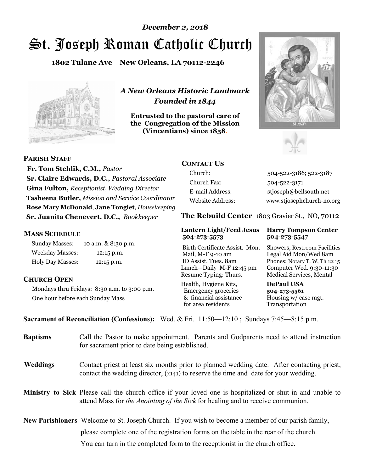# St. Joseph Roman Catholic Church *December 2, 2018*

**1802 Tulane Ave New Orleans, LA 70112-2246**



*A New Orleans Historic Landmark Founded in 1844* 

**Entrusted to the pastoral care of the Congregation of the Mission (Vincentians) since 1858**.





 **Fr. Tom Stehlik, C.M.,** *Pastor* **Sr. Claire Edwards, D.C.,** *Pastoral Associate* **Gina Fulton,** *Receptionist, Wedding Director* **Tasheena Butler,** *Mission and Service Coordinator* **Rose Mary McDonald**, **Jane Tonglet**, *Housekeeping* 

**Sr. Juanita Chenevert, D.C.,** *Bookkeeper* 

#### **MASS SCHEDULE**

**PARISH STAFF**

Sunday Masses: 10 a.m. & 8:30 p.m. Weekday Masses: 12:15 p.m. Holy Day Masses: 12:15 p.m.

#### **CHURCH OPEN**

Mondays thru Fridays: 8:30 a.m. to 3:00 p.m. One hour before each Sunday Mass

### **CONTACT US**

Church: 504-522-3186; 522-3187 Church Fax: 504-522-3171 E-mail Address: stjoseph@bellsouth.net Website Address: www.stjosephchurch-no.org

**The Rebuild Center** 1803 Gravier St., NO, 70112

#### **Lantern Light/Feed Jesus Harry Tompson Center 504-273-5573 504-273-5547**

Birth Certificate Assist. Mon. Showers, Restroom Facilities Mail, M-F 9-10 am Legal Aid Mon/Wed 8am ID Assist. Tues. 8am Phones; Notary T, W, Th 12:15 Lunch—Daily M-F 12:45 pm Computer Wed. 9:30-11:30 Resume Typing: Thurs. Medical Services, Mental

Health, Hygiene Kits, **DePaul USA**  Emergency groceries **504-273-5561** & financial assistance Housing w/ case mgt.<br>for area residents Transportation for area residents

**Sacrament of Reconciliation (Confessions):** Wed. & Fri. 11:50—12:10 ; Sundays 7:45—8:15 p.m.

| <b>Baptisms</b> | Call the Pastor to make appointment. Parents and Godparents need to attend instruction<br>for sacrament prior to date being established.                                                            |
|-----------------|-----------------------------------------------------------------------------------------------------------------------------------------------------------------------------------------------------|
| <b>Weddings</b> | Contact priest at least six months prior to planned wedding date. After contacting priest,<br>contact the wedding director, (x141) to reserve the time and date for your wedding.                   |
|                 | <b>Ministry to Sick</b> Please call the church office if your loved one is hospitalized or shut-in and unable to<br>attend Mass for the Anointing of the Sick for healing and to receive communion. |
|                 | New Parishioners Welcome to St. Joseph Church. If you wish to become a member of our parish family,                                                                                                 |
|                 | please complete one of the registration forms on the table in the rear of the church.                                                                                                               |
|                 | You can turn in the completed form to the reception is the church office.                                                                                                                           |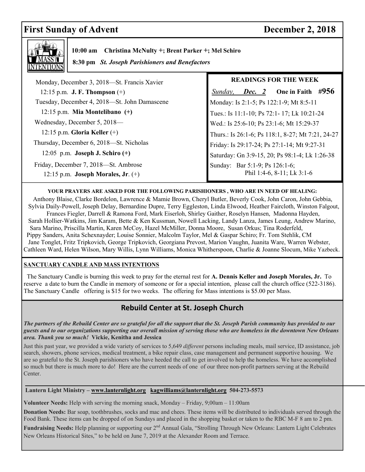## First Sunday of Advent December 2, 2018



 **10:00 am Christina McNulty +; Brent Parker +; Mel Schiro** 

 **8:30 pm** *St. Joseph Parishioners and Benefactors*

| Monday, December 3, 2018—St. Francis Xavier  |
|----------------------------------------------|
| 12:15 p.m. <b>J. F. Thompson</b> $(+)$       |
| Tuesday, December 4, 2018—St. John Damascene |
| $12:15$ p.m. Mia Montelibano $(+)$           |
| Wednesday, December 5, 2018—                 |
| 12:15 p.m. Gloria Keller $(+)$               |
| Thursday, December 6, 2018—St. Nicholas      |
| 12:05 p.m. Joseph J. Schiro $(+)$            |
| Friday, December 7, 2018-St. Ambrose         |
| 12:15 p.m. Joseph Morales, Jr. $(+)$         |

#### **READINGS FOR THE WEEK**

 *Sunday, Dec. 2* **One in Faith #956**  Monday: Is 2:1-5; Ps 122:1-9; Mt 8:5-11 Tues.: Is 11:1-10; Ps 72:1- 17; Lk 10:21-24 Wed.: Is 25:6-10; Ps 23:1-6; Mt 15:29-37 Thurs.: Is 26:1-6; Ps 118:1, 8-27; Mt 7:21, 24-27 Friday: Is 29:17-24; Ps 27:1-14; Mt 9:27-31 Saturday: Gn 3:9-15, 20; Ps 98:1-4; Lk 1:26-38 Sunday: Bar 5:1-9; Ps 126:1-6; Phil 1:4-6, 8-11; Lk 3:1-6

#### **YOUR PRAYERS ARE ASKED FOR THE FOLLOWING PARISHIONERS , WHO ARE IN NEED OF HEALING:**

 Anthony Blaise, Clarke Bordelon, Lawrence & Mamie Brown, Cheryl Butler, Beverly Cook, John Caron, John Gebbia, Sylvia Daily-Powell, Joseph Delay, Bernardine Dupre, Terry Eggleston, Linda Elwood, Heather Faircloth, Winston Falgout, Frances Fiegler, Darrell & Ramona Ford, Mark Eiserloh, Shirley Gaither, Roselyn Hansen, Madonna Hayden, Sarah Hollier-Watkins, Jim Karam, Bette & Ken Kussman, Nowell Lacking, Landy Lanza, James Leung, Andrew Marino, Sara Marino, Priscilla Martin, Karen McCoy, Hazel McMiller, Donna Moore, Susan Orkus; Tina Roderfeld, Pippy Sanders, Anita Schexnayder; Louise Sonnier, Malcolm Taylor, Mel & Gaspar Schiro; Fr. Tom Stehlik, CM Jane Tonglet, Fritz Tripkovich, George Tripkovich, Georgiana Prevost, Marion Vaughn, Juanita Ware, Warren Webster, Cathleen Ward, Helen Wilson, Mary Willis, Lynn Williams, Monica Whitherspoon, Charlie & Joanne Slocum, Mike Yazbeck.

#### **SANCTUARY CANDLE AND MASS INTENTIONS**

 The Sanctuary Candle is burning this week to pray for the eternal rest for **A. Dennis Keller and Joseph Morales, Jr.** To reserve a date to burn the Candle in memory of someone or for a special intention, please call the church office (522-3186). The Sanctuary Candle offering is \$15 for two weeks. The offering for Mass intentions is \$5.00 per Mass.

### **Rebuild Center at St. Joseph Church**

 *The partners of the Rebuild Center are so grateful for all the support that the St. Joseph Parish community has provided to our guests and to our organizations supporting our overall mission of serving those who are homeless in the downtown New Orleans area. Thank you so much!* **Vickie, Kenitha and Jessica** 

Just this past year, we provided a wide variety of services to 5,649 *different* persons including meals, mail service, ID assistance, job search, showers, phone services, medical treatment, a bike repair class, case management and permanent supportive housing. We are so grateful to the St. Joseph parishioners who have heeded the call to get involved to help the homeless. We have accomplished so much but there is much more to do! Here are the current needs of one of our three non-profit partners serving at the Rebuild Center.

#### **Lantern Light Ministry – www.lanternlight.org kagwilliams@lanternlight.org 504-273-5573**

**Volunteer Needs:** Help with serving the morning snack, Monday – Friday, 9;00am – 11:00am

**Donation Needs:** Bar soap, toothbrushes, socks and mac and chees. These items will be distributed to individuals served through the Food Bank. These items can be dropped of on Sundays and placed in the shopping basket or taken to the RBC M-F 8 am to 2 pm.

**Fundraising Needs:** Help planning or supporting our 2nd Annual Gala, "Strolling Through New Orleans: Lantern Light Celebrates New Orleans Historical Sites," to be held on June 7, 2019 at the Alexander Room and Terrace.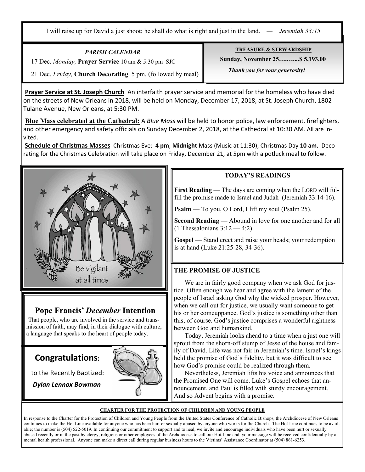I will raise up for David a just shoot; he shall do what is right and just in the land. *— Jeremiah 33:15*

*PARISH CALENDAR* 

17 Dec. *Monday,* **Prayer Service** 10 am & 5:30 pm SJC

21 Dec. *Friday,* **Church Decorating** 5 pm. (followed by meal)

**Prayer Service at St. Joseph Church** An interfaith prayer service and memorial for the homeless who have died on the streets of New Orleans in 2018, will be held on Monday, December 17, 2018, at St. Joseph Church, 1802 Tulane Avenue, New Orleans, at 5:30 PM.

**Blue Mass celebrated at the Cathedral:** A *Blue Mass* will be held to honor police, law enforcement, firefighters, and other emergency and safety officials on Sunday December 2, 2018, at the Cathedral at 10:30 AM. All are invited.

**Schedule of Christmas Masses** Christmas Eve: **4 pm**; **Midnight** Mass (Music at 11:30); Christmas Day **10 am.** Decorating for the Christmas Celebration will take place on Friday, December 21, at 5pm with a potluck meal to follow.



## **Pope Francis'** *December* **Intention**

That people, who are involved in the service and transmission of faith, may find, in their dialogue with culture, a language that speaks to the heart of people today.

## **Congratulations:**

.

to the Recently Baptized:

*Dylan Lennox Bowman* 



#### **TODAY'S READINGS**

First Reading — The days are coming when the LORD will fulfill the promise made to Israel and Judah (Jeremiah 33:14-16).

**Psalm** — To you, O Lord, I lift my soul (Psalm 25).

**Second Reading** — Abound in love for one another and for all  $(1$  Thessalonians  $3:12 - 4:2$ ).

Gospel — Stand erect and raise your heads; your redemption is at hand (Luke 21:25-28, 34-36).

#### **THE PROMISE OF JUSTICE**

 We are in fairly good company when we ask God for justice. Often enough we hear and agree with the lament of the people of Israel asking God why the wicked prosper. However, when we call out for justice, we usually want someone to get his or her comeuppance. God's justice is something other than this, of course. God's justice comprises a wonderful rightness between God and humankind.

 Today, Jeremiah looks ahead to a time when a just one will sprout from the shorn-off stump of Jesse of the house and family of David. Life was not fair in Jeremiah's time. Israel's kings held the promise of God's fidelity, but it was difficult to see how God's promise could be realized through them.

 Nevertheless, Jeremiah lifts his voice and announces that the Promised One will come. Luke's Gospel echoes that announcement, and Paul is filled with sturdy encouragement. And so Advent begins with a promise.

#### **CHARTER FOR THE PROTECTION OF CHILDREN AND YOUNG PEOPLE**

In response to the Charter for the Protection of Children and Young People from the United States Conference of Catholic Bishops, the Archdiocese of New Orleans continues to make the Hot Line available for anyone who has been hurt or sexually abused by anyone who works for the Church. The Hot Line continues to be available; the number is (504) 522-5019. In continuing our commitment to support and to heal, we invite and encourage individuals who have been hurt or sexually abused recently or in the past by clergy, religious or other employees of the Archdiocese to call our Hot Line and your message will be received confidentially by a mental health professional. Anyone can make a direct call during regular business hours to the Victims' Assistance Coordinator at (504) 861-6253.

**TREASURE & STEWARDSHIP Sunday, November 25….…....\$ 5,193.00** 

 *Thank you for your generosity!*